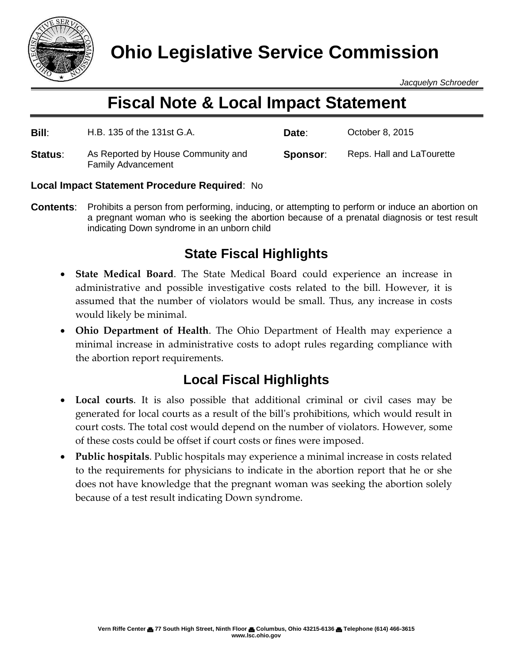

*Jacquelyn Schroeder*

# **Fiscal Note & Local Impact Statement**

| Bill:   | H.B. 135 of the 131st G.A.                                      | Date:    | October 8, 2015           |
|---------|-----------------------------------------------------------------|----------|---------------------------|
| Status: | As Reported by House Community and<br><b>Family Advancement</b> | Sponsor: | Reps. Hall and LaTourette |

### **Local Impact Statement Procedure Required**: No

**Contents**: Prohibits a person from performing, inducing, or attempting to perform or induce an abortion on a pregnant woman who is seeking the abortion because of a prenatal diagnosis or test result indicating Down syndrome in an unborn child

## **State Fiscal Highlights**

- **State Medical Board**. The State Medical Board could experience an increase in administrative and possible investigative costs related to the bill. However, it is assumed that the number of violators would be small. Thus, any increase in costs would likely be minimal.
- **Ohio Department of Health**. The Ohio Department of Health may experience a minimal increase in administrative costs to adopt rules regarding compliance with the abortion report requirements.

### **Local Fiscal Highlights**

- **Local courts**. It is also possible that additional criminal or civil cases may be generated for local courts as a result of the bill's prohibitions, which would result in court costs. The total cost would depend on the number of violators. However, some of these costs could be offset if court costs or fines were imposed.
- **Public hospitals**. Public hospitals may experience a minimal increase in costs related to the requirements for physicians to indicate in the abortion report that he or she does not have knowledge that the pregnant woman was seeking the abortion solely because of a test result indicating Down syndrome.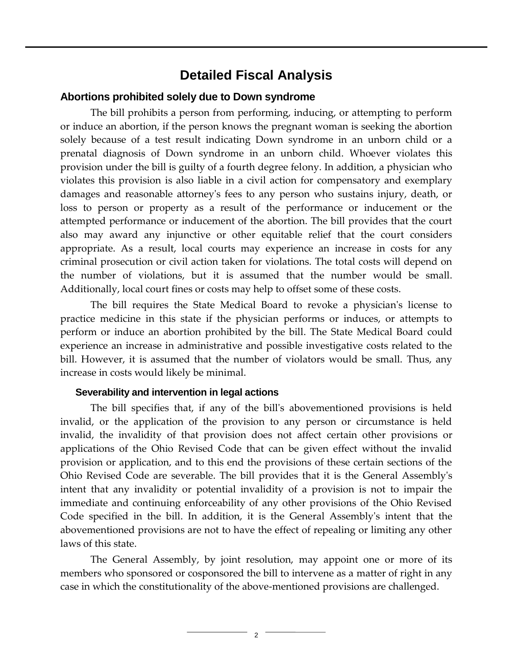### **Detailed Fiscal Analysis**

#### **Abortions prohibited solely due to Down syndrome**

The bill prohibits a person from performing, inducing, or attempting to perform or induce an abortion, if the person knows the pregnant woman is seeking the abortion solely because of a test result indicating Down syndrome in an unborn child or a prenatal diagnosis of Down syndrome in an unborn child. Whoever violates this provision under the bill is guilty of a fourth degree felony. In addition, a physician who violates this provision is also liable in a civil action for compensatory and exemplary damages and reasonable attorney's fees to any person who sustains injury, death, or loss to person or property as a result of the performance or inducement or the attempted performance or inducement of the abortion. The bill provides that the court also may award any injunctive or other equitable relief that the court considers appropriate. As a result, local courts may experience an increase in costs for any criminal prosecution or civil action taken for violations. The total costs will depend on the number of violations, but it is assumed that the number would be small. Additionally, local court fines or costs may help to offset some of these costs.

The bill requires the State Medical Board to revoke a physician's license to practice medicine in this state if the physician performs or induces, or attempts to perform or induce an abortion prohibited by the bill. The State Medical Board could experience an increase in administrative and possible investigative costs related to the bill. However, it is assumed that the number of violators would be small. Thus, any increase in costs would likely be minimal.

#### **Severability and intervention in legal actions**

The bill specifies that, if any of the bill's abovementioned provisions is held invalid, or the application of the provision to any person or circumstance is held invalid, the invalidity of that provision does not affect certain other provisions or applications of the Ohio Revised Code that can be given effect without the invalid provision or application, and to this end the provisions of these certain sections of the Ohio Revised Code are severable. The bill provides that it is the General Assembly's intent that any invalidity or potential invalidity of a provision is not to impair the immediate and continuing enforceability of any other provisions of the Ohio Revised Code specified in the bill. In addition, it is the General Assembly's intent that the abovementioned provisions are not to have the effect of repealing or limiting any other laws of this state.

The General Assembly, by joint resolution, may appoint one or more of its members who sponsored or cosponsored the bill to intervene as a matter of right in any case in which the constitutionality of the above-mentioned provisions are challenged.